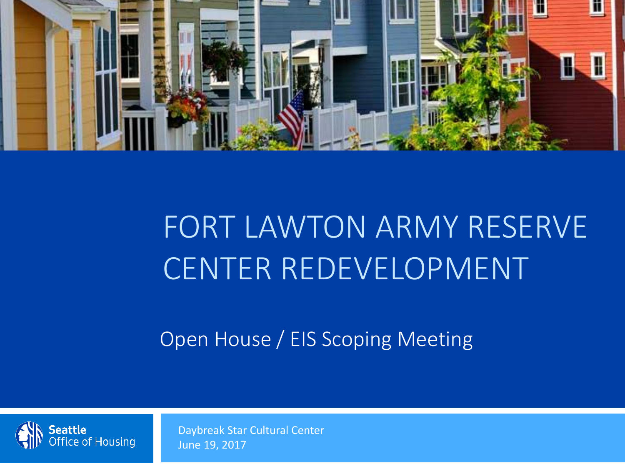

## FORT LAWTON ARMY RESERVE CENTER REDEVELOPMENT

Open House / EIS Scoping Meeting



Daybreak Star Cultural Center June 19, 2017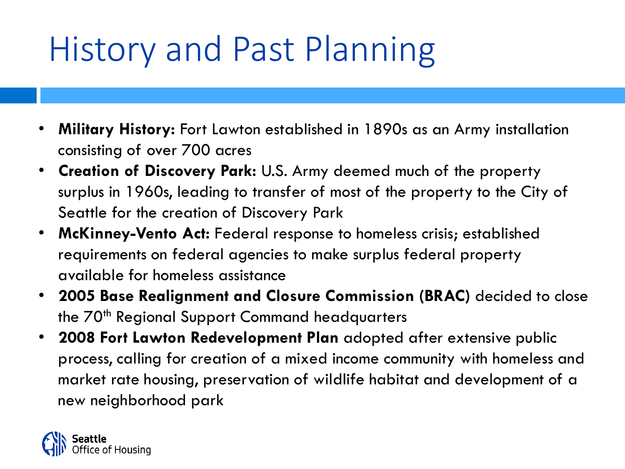# History and Past Planning

- **Military History:** Fort Lawton established in 1890s as an Army installation consisting of over 700 acres
- **Creation of Discovery Park:** U.S. Army deemed much of the property surplus in 1960s, leading to transfer of most of the property to the City of Seattle for the creation of Discovery Park
- **McKinney-Vento Act:** Federal response to homeless crisis; established requirements on federal agencies to make surplus federal property available for homeless assistance
- **2005 Base Realignment and Closure Commission (BRAC)** decided to close the 70<sup>th</sup> Regional Support Command headquarters
- **2008 Fort Lawton Redevelopment Plan** adopted after extensive public process, calling for creation of a mixed income community with homeless and market rate housing, preservation of wildlife habitat and development of a new neighborhood park

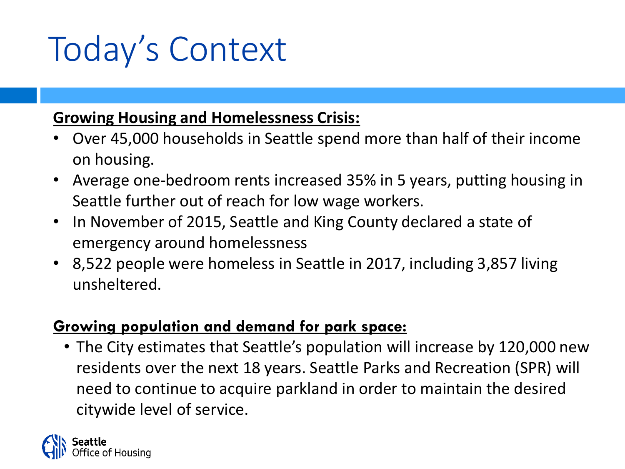# Today's Context

#### **Growing Housing and Homelessness Crisis:**

- Over 45,000 households in Seattle spend more than half of their income on housing.
- Average one-bedroom rents increased 35% in 5 years, putting housing in Seattle further out of reach for low wage workers.
- In November of 2015, Seattle and King County declared a state of emergency around homelessness
- 8,522 people were homeless in Seattle in 2017, including 3,857 living unsheltered.

#### **Growing population and demand for park space:**

• The City estimates that Seattle's population will increase by 120,000 new residents over the next 18 years. Seattle Parks and Recreation (SPR) will need to continue to acquire parkland in order to maintain the desired citywide level of service.

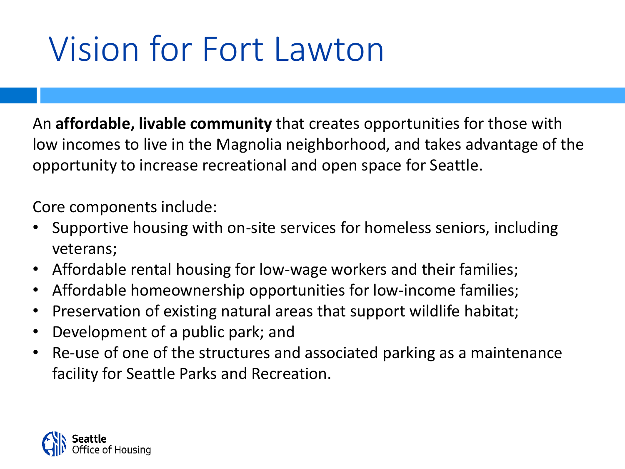# Vision for Fort Lawton

An **affordable, livable community** that creates opportunities for those with low incomes to live in the Magnolia neighborhood, and takes advantage of the opportunity to increase recreational and open space for Seattle.

Core components include:

- Supportive housing with on-site services for homeless seniors, including veterans;
- Affordable rental housing for low-wage workers and their families;
- Affordable homeownership opportunities for low-income families;
- Preservation of existing natural areas that support wildlife habitat;
- Development of a public park; and
- Re-use of one of the structures and associated parking as a maintenance facility for Seattle Parks and Recreation.

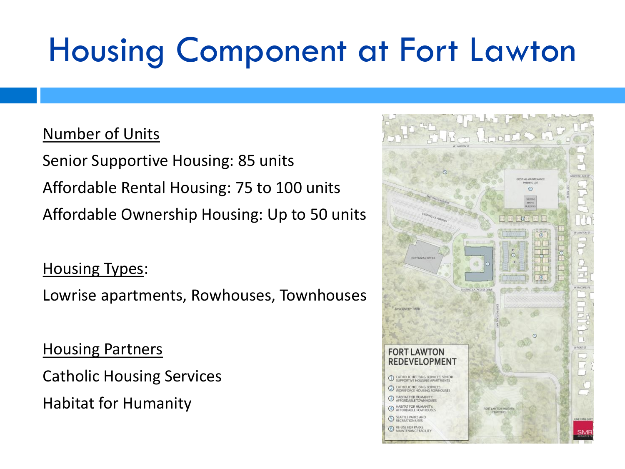# Housing Component at Fort Lawton

#### Number of Units

Senior Supportive Housing: 85 units Affordable Rental Housing: 75 to 100 units Affordable Ownership Housing: Up to 50 units

**Housing Types:** 

Lowrise apartments, Rowhouses, Townhouses

**Housing Partners** 

Catholic Housing Services

Habitat for Humanity

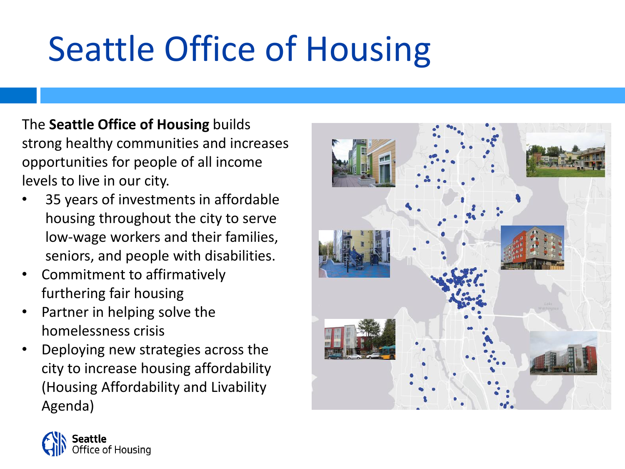# Seattle Office of Housing

The **Seattle Office of Housing** builds strong healthy communities and increases opportunities for people of all income levels to live in our city.

- 35 years of investments in affordable housing throughout the city to serve low-wage workers and their families, seniors, and people with disabilities.
- Commitment to affirmatively furthering fair housing
- Partner in helping solve the homelessness crisis
- Deploying new strategies across the city to increase housing affordability (Housing Affordability and Livability Agenda)



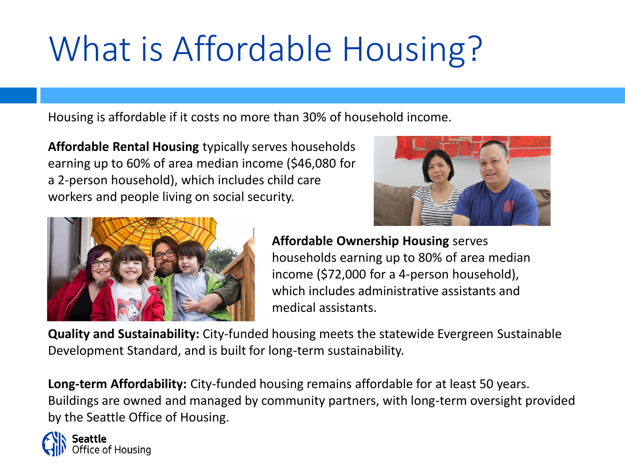# What is Affordable Housing?

Housing is affordable if it costs no more than 30% of household income.

**Affordable Rental Housing** typically serves households earning up to 60% of area median income (\$46,080 for a 2-person household), which includes child care workers and people living on social security.





**Affordable Ownership Housing** serves households earning up to 80% of area median income (\$72,000 for a 4-person household), which includes administrative assistants and medical assistants.

**Quality and Sustainability:** City-funded housing meets the statewide Evergreen Sustainable Development Standard, and is built for long-term sustainability.

**Long-term Affordability:** City-funded housing remains affordable for at least 50 years. Buildings are owned and managed by community partners, with long-term oversight provided by the Seattle Office of Housing.

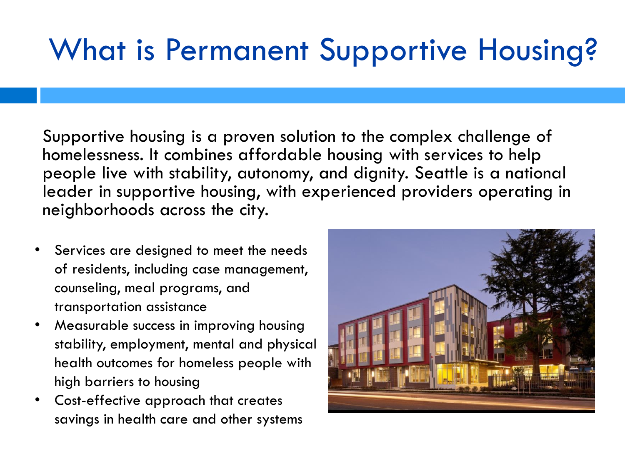#### What is Permanent Supportive Housing?

Supportive housing is a proven solution to the complex challenge of homelessness. It combines affordable housing with services to help people live with stability, autonomy, and dignity. Seattle is a national leader in supportive housing, with experienced providers operating in neighborhoods across the city.

- Services are designed to meet the needs of residents, including case management, counseling, meal programs, and transportation assistance
- Measurable success in improving housing stability, employment, mental and physical health outcomes for homeless people with high barriers to housing
- Cost-effective approach that creates savings in health care and other systems

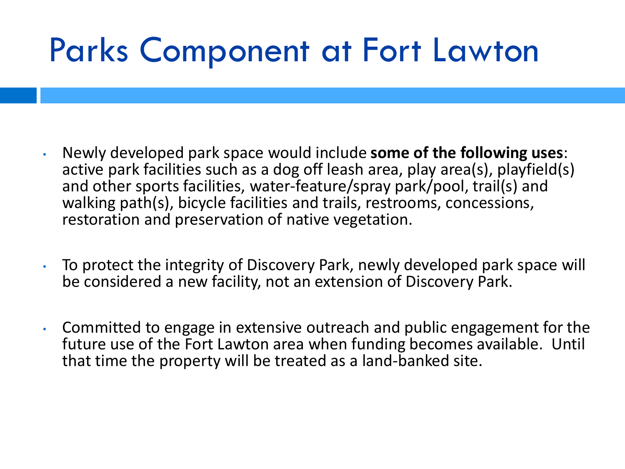## Parks Component at Fort Lawton

- Newly developed park space would include **some of the following uses**: active park facilities such as a dog off leash area, play area(s), playfield(s) and other sports facilities, water-feature/spray park/pool, trail(s) and walking path(s), bicycle facilities and trails, restrooms, concessions, restoration and preservation of native vegetation.
- To protect the integrity of Discovery Park, newly developed park space will be considered a new facility, not an extension of Discovery Park.
- Committed to engage in extensive outreach and public engagement for the future use of the Fort Lawton area when funding becomes available. Until that time the property will be treated as a land-banked site.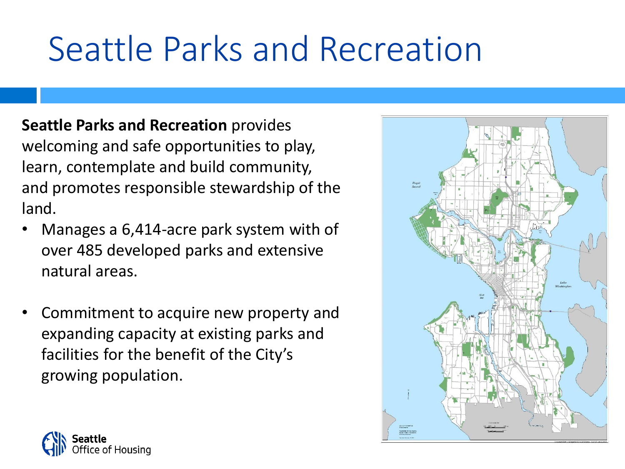# Seattle Parks and Recreation

**Seattle Parks and Recreation** provides welcoming and safe opportunities to play, learn, contemplate and build community, and promotes responsible stewardship of the land.

- Manages a 6,414-acre park system with of over 485 developed parks and extensive natural areas.
- Commitment to acquire new property and expanding capacity at existing parks and facilities for the benefit of the City's growing population.



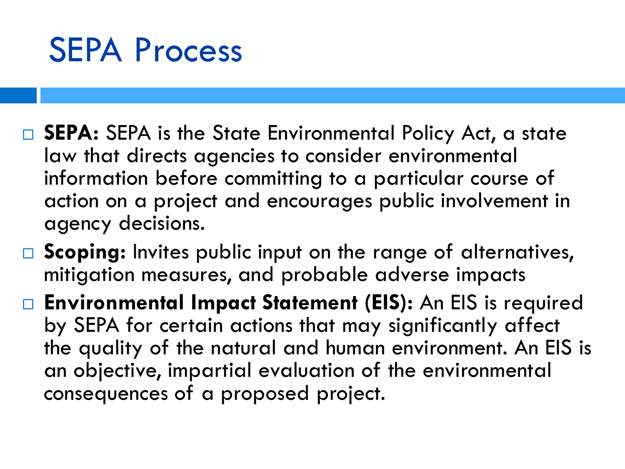#### SEPA Process

- □ SEPA: SEPA is the State Environmental Policy Act, a state law that directs agencies to consider environmental information before committing to a particular course of action on a project and encourages public involvement in agency decisions.
- □ Scoping: Invites public input on the range of alternatives, mitigation measures, and probable adverse impacts
- **Environmental Impact Statement (EIS):** An EIS is required by SEPA for certain actions that may significantly affect the quality of the natural and human environment. An EIS is an objective, impartial evaluation of the environmental consequences of a proposed project.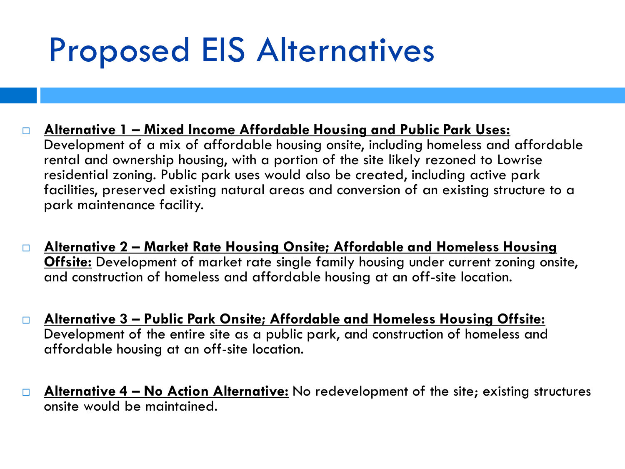### Proposed EIS Alternatives

- **Alternative 1 – Mixed Income Affordable Housing and Public Park Uses:** Development of a mix of affordable housing onsite, including homeless and affordable rental and ownership housing, with a portion of the site likely rezoned to Lowrise residential zoning. Public park uses would also be created, including active park facilities, preserved existing natural areas and conversion of an existing structure to a park maintenance facility.
- **Alternative 2 – Market Rate Housing Onsite; Affordable and Homeless Housing Offsite:** Development of market rate single family housing under current zoning onsite, and construction of homeless and affordable housing at an off-site location.
- **Alternative 3 – Public Park Onsite; Affordable and Homeless Housing Offsite:** Development of the entire site as a public park, and construction of homeless and affordable housing at an off-site location.
- **Alternative 4 – No Action Alternative:** No redevelopment of the site; existing structures onsite would be maintained.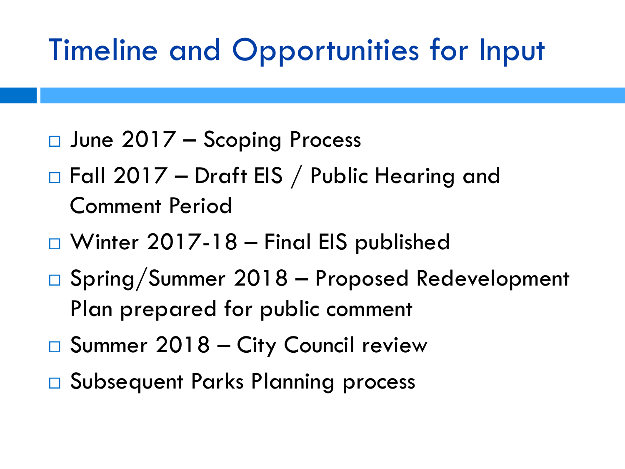#### Timeline and Opportunities for Input

- June 2017 Scoping Process
- □ Fall 2017 Draft EIS / Public Hearing and Comment Period
- □ Winter 2017-18 Final EIS published
- Spring/Summer 2018 Proposed Redevelopment Plan prepared for public comment
- □ Summer 2018 City Council review
- □ Subsequent Parks Planning process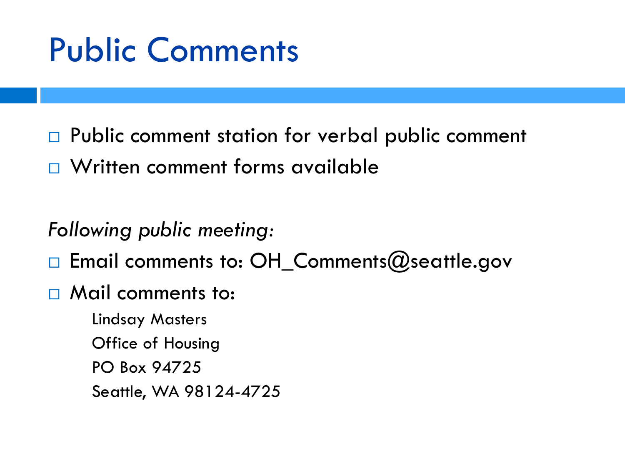### Public Comments

□ Public comment station for verbal public comment

□ Written comment forms available

*Following public meeting:*

 $\Box$  Email comments to: OH\_Comments@seattle.gov

□ Mail comments to:

Lindsay Masters Office of Housing PO Box 94725 Seattle, WA 98124-4725